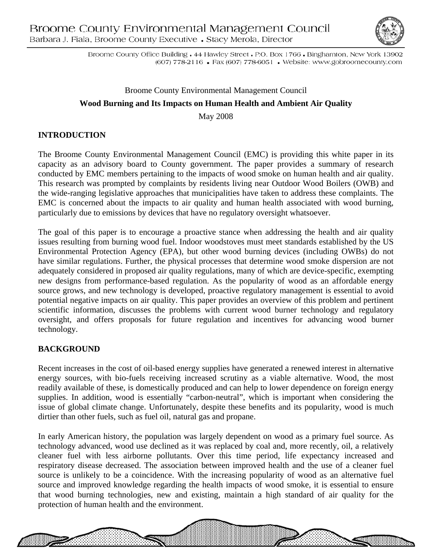

Broome County Office Building • 44 Hawley Street • P.O. Box 1766 • Binghamton, New York 13902 (607) 778-2116 • Fax (607) 778-6051 • Website: www.gobroomecounty.com

## Broome County Environmental Management Council **Wood Burning and Its Impacts on Human Health and Ambient Air Quality**  May 2008

# **INTRODUCTION**

The Broome County Environmental Management Council (EMC) is providing this white paper in its capacity as an advisory board to County government. The paper provides a summary of research conducted by EMC members pertaining to the impacts of wood smoke on human health and air quality. This research was prompted by complaints by residents living near Outdoor Wood Boilers (OWB) and the wide-ranging legislative approaches that municipalities have taken to address these complaints. The EMC is concerned about the impacts to air quality and human health associated with wood burning, particularly due to emissions by devices that have no regulatory oversight whatsoever.

The goal of this paper is to encourage a proactive stance when addressing the health and air quality issues resulting from burning wood fuel. Indoor woodstoves must meet standards established by the US Environmental Protection Agency (EPA), but other wood burning devices (including OWBs) do not have similar regulations. Further, the physical processes that determine wood smoke dispersion are not adequately considered in proposed air quality regulations, many of which are device-specific, exempting new designs from performance-based regulation. As the popularity of wood as an affordable energy source grows, and new technology is developed, proactive regulatory management is essential to avoid potential negative impacts on air quality. This paper provides an overview of this problem and pertinent scientific information, discusses the problems with current wood burner technology and regulatory oversight, and offers proposals for future regulation and incentives for advancing wood burner technology.

### **BACKGROUND**

Recent increases in the cost of oil-based energy supplies have generated a renewed interest in alternative energy sources, with bio-fuels receiving increased scrutiny as a viable alternative. Wood, the most readily available of these, is domestically produced and can help to lower dependence on foreign energy supplies. In addition, wood is essentially "carbon-neutral", which is important when considering the issue of global climate change. Unfortunately, despite these benefits and its popularity, wood is much dirtier than other fuels, such as fuel oil, natural gas and propane.

In early American history, the population was largely dependent on wood as a primary fuel source. As technology advanced, wood use declined as it was replaced by coal and, more recently, oil, a relatively cleaner fuel with less airborne pollutants. Over this time period, life expectancy increased and respiratory disease decreased. The association between improved health and the use of a cleaner fuel source is unlikely to be a coincidence. With the increasing popularity of wood as an alternative fuel source and improved knowledge regarding the health impacts of wood smoke, it is essential to ensure that wood burning technologies, new and existing, maintain a high standard of air quality for the protection of human health and the environment.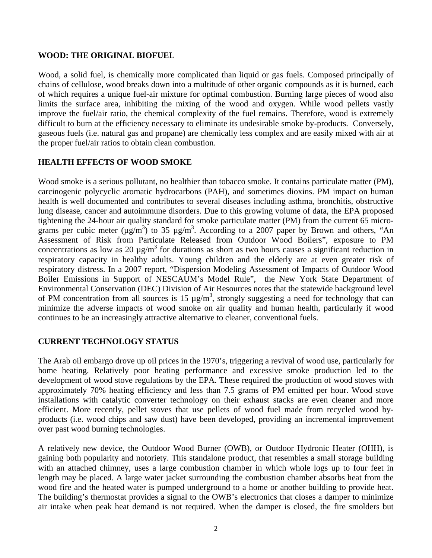#### **WOOD: THE ORIGINAL BIOFUEL**

Wood, a solid fuel, is chemically more complicated than liquid or gas fuels. Composed principally of chains of cellulose, wood breaks down into a multitude of other organic compounds as it is burned, each of which requires a unique fuel-air mixture for optimal combustion. Burning large pieces of wood also limits the surface area, inhibiting the mixing of the wood and oxygen. While wood pellets vastly improve the fuel/air ratio, the chemical complexity of the fuel remains. Therefore, wood is extremely difficult to burn at the efficiency necessary to eliminate its undesirable smoke by-products. Conversely, gaseous fuels (i.e. natural gas and propane) are chemically less complex and are easily mixed with air at the proper fuel/air ratios to obtain clean combustion.

#### **HEALTH EFFECTS OF WOOD SMOKE**

Wood smoke is a serious pollutant, no healthier than tobacco smoke. It contains particulate matter (PM), carcinogenic polycyclic aromatic hydrocarbons (PAH), and sometimes dioxins. PM impact on human health is well documented and contributes to several diseases including asthma, bronchitis, obstructive lung disease, cancer and autoimmune disorders. Due to this growing volume of data, the EPA proposed tightening the 24-hour air quality standard for smoke particulate matter (PM) from the current 65 micrograms per cubic meter  $(\mu g/m^3)$  to 35  $\mu g/m^3$ . According to a 2007 paper by Brown and others, "An Assessment of Risk from Particulate Released from Outdoor Wood Boilers", exposure to PM concentrations as low as 20  $\mu$ g/m<sup>3</sup> for durations as short as two hours causes a significant reduction in respiratory capacity in healthy adults. Young children and the elderly are at even greater risk of respiratory distress. In a 2007 report, "Dispersion Modeling Assessment of Impacts of Outdoor Wood Boiler Emissions in Support of NESCAUM's Model Rule", the New York State Department of Environmental Conservation (DEC) Division of Air Resources notes that the statewide background level of PM concentration from all sources is 15  $\mu$ g/m<sup>3</sup>, strongly suggesting a need for technology that can minimize the adverse impacts of wood smoke on air quality and human health, particularly if wood continues to be an increasingly attractive alternative to cleaner, conventional fuels.

#### **CURRENT TECHNOLOGY STATUS**

The Arab oil embargo drove up oil prices in the 1970's, triggering a revival of wood use, particularly for home heating. Relatively poor heating performance and excessive smoke production led to the development of wood stove regulations by the EPA. These required the production of wood stoves with approximately 70% heating efficiency and less than 7.5 grams of PM emitted per hour. Wood stove installations with catalytic converter technology on their exhaust stacks are even cleaner and more efficient. More recently, pellet stoves that use pellets of wood fuel made from recycled wood byproducts (i.e. wood chips and saw dust) have been developed, providing an incremental improvement over past wood burning technologies.

A relatively new device, the Outdoor Wood Burner (OWB), or Outdoor Hydronic Heater (OHH), is gaining both popularity and notoriety. This standalone product, that resembles a small storage building with an attached chimney, uses a large combustion chamber in which whole logs up to four feet in length may be placed. A large water jacket surrounding the combustion chamber absorbs heat from the wood fire and the heated water is pumped underground to a home or another building to provide heat. The building's thermostat provides a signal to the OWB's electronics that closes a damper to minimize air intake when peak heat demand is not required. When the damper is closed, the fire smolders but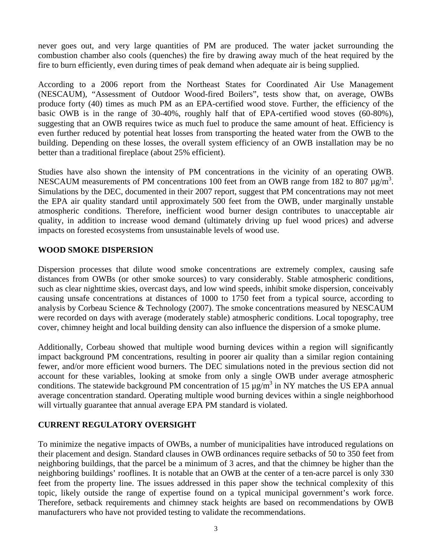never goes out, and very large quantities of PM are produced. The water jacket surrounding the combustion chamber also cools (quenches) the fire by drawing away much of the heat required by the fire to burn efficiently, even during times of peak demand when adequate air is being supplied.

According to a 2006 report from the Northeast States for Coordinated Air Use Management (NESCAUM), "Assessment of Outdoor Wood-fired Boilers", tests show that, on average, OWBs produce forty (40) times as much PM as an EPA-certified wood stove. Further, the efficiency of the basic OWB is in the range of 30-40%, roughly half that of EPA-certified wood stoves (60-80%), suggesting that an OWB requires twice as much fuel to produce the same amount of heat. Efficiency is even further reduced by potential heat losses from transporting the heated water from the OWB to the building. Depending on these losses, the overall system efficiency of an OWB installation may be no better than a traditional fireplace (about 25% efficient).

Studies have also shown the intensity of PM concentrations in the vicinity of an operating OWB. NESCAUM measurements of PM concentrations 100 feet from an OWB range from 182 to 807  $\mu$ g/m<sup>3</sup>. Simulations by the DEC, documented in their 2007 report, suggest that PM concentrations may not meet the EPA air quality standard until approximately 500 feet from the OWB, under marginally unstable atmospheric conditions. Therefore, inefficient wood burner design contributes to unacceptable air quality, in addition to increase wood demand (ultimately driving up fuel wood prices) and adverse impacts on forested ecosystems from unsustainable levels of wood use.

#### **WOOD SMOKE DISPERSION**

Dispersion processes that dilute wood smoke concentrations are extremely complex, causing safe distances from OWBs (or other smoke sources) to vary considerably. Stable atmospheric conditions, such as clear nighttime skies, overcast days, and low wind speeds, inhibit smoke dispersion, conceivably causing unsafe concentrations at distances of 1000 to 1750 feet from a typical source, according to analysis by Corbeau Science & Technology (2007). The smoke concentrations measured by NESCAUM were recorded on days with average (moderately stable) atmospheric conditions. Local topography, tree cover, chimney height and local building density can also influence the dispersion of a smoke plume.

Additionally, Corbeau showed that multiple wood burning devices within a region will significantly impact background PM concentrations, resulting in poorer air quality than a similar region containing fewer, and/or more efficient wood burners. The DEC simulations noted in the previous section did not account for these variables, looking at smoke from only a single OWB under average atmospheric conditions. The statewide background PM concentration of 15  $\mu$ g/m<sup>3</sup> in NY matches the US EPA annual average concentration standard. Operating multiple wood burning devices within a single neighborhood will virtually guarantee that annual average EPA PM standard is violated.

### **CURRENT REGULATORY OVERSIGHT**

To minimize the negative impacts of OWBs, a number of municipalities have introduced regulations on their placement and design. Standard clauses in OWB ordinances require setbacks of 50 to 350 feet from neighboring buildings, that the parcel be a minimum of 3 acres, and that the chimney be higher than the neighboring buildings' rooflines. It is notable that an OWB at the center of a ten-acre parcel is only 330 feet from the property line. The issues addressed in this paper show the technical complexity of this topic, likely outside the range of expertise found on a typical municipal government's work force. Therefore, setback requirements and chimney stack heights are based on recommendations by OWB manufacturers who have not provided testing to validate the recommendations.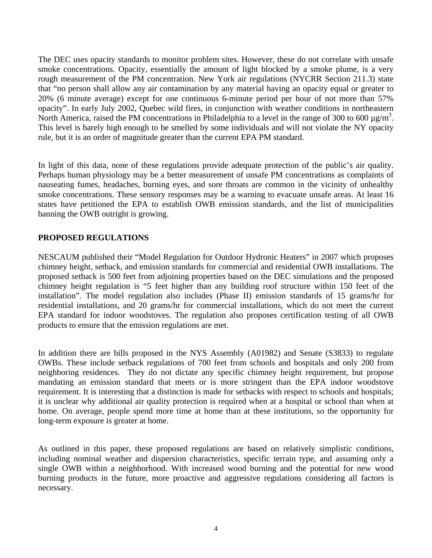The DEC uses opacity standards to monitor problem sites. However, these do not correlate with unsafe smoke concentrations. Opacity, essentially the amount of light blocked by a smoke plume, is a very rough measurement of the PM concentration. New York air regulations (NYCRR Section 211.3) state that "no person shall allow any air contamination by any material having an opacity equal or greater to 20% (6 minute average) except for one continuous 6-minute period per hour of not more than 57% opacity". In early July 2002, Quebec wild fires, in conjunction with weather conditions in northeastern North America, raised the PM concentrations in Philadelphia to a level in the range of 300 to 600  $\mu$ g/m<sup>3</sup>. This level is barely high enough to be smelled by some individuals and will not violate the NY opacity rule, but it is an order of magnitude greater than the current EPA PM standard.

In light of this data, none of these regulations provide adequate protection of the public's air quality. Perhaps human physiology may be a better measurement of unsafe PM concentrations as complaints of nauseating fumes, headaches, burning eyes, and sore throats are common in the vicinity of unhealthy smoke concentrations. These sensory responses may be a warning to evacuate unsafe areas. At least 16 states have petitioned the EPA to establish OWB emission standards, and the list of municipalities banning the OWB outright is growing.

#### **PROPOSED REGULATIONS**

NESCAUM published their "Model Regulation for Outdoor Hydronic Heaters" in 2007 which proposes chimney height, setback, and emission standards for commercial and residential OWB installations. The proposed setback is 500 feet from adjoining properties based on the DEC simulations and the proposed chimney height regulation is "5 feet higher than any building roof structure within 150 feet of the installation". The model regulation also includes (Phase II) emission standards of 15 grams/hr for residential installations, and 20 grams/hr for commercial installations, which do not meet the current EPA standard for indoor woodstoves. The regulation also proposes certification testing of all OWB products to ensure that the emission regulations are met.

In addition there are bills proposed in the NYS Assembly (A01982) and Senate (S3833) to regulate OWBs. These include setback regulations of 700 feet from schools and hospitals and only 200 from neighboring residences. They do not dictate any specific chimney height requirement, but propose mandating an emission standard that meets or is more stringent than the EPA indoor woodstove requirement. It is interesting that a distinction is made for setbacks with respect to schools and hospitals; it is unclear why additional air quality protection is required when at a hospital or school than when at home. On average, people spend more time at home than at these institutions, so the opportunity for long-term exposure is greater at home.

As outlined in this paper, these proposed regulations are based on relatively simplistic conditions, including nominal weather and dispersion characteristics, specific terrain type, and assuming only a single OWB within a neighborhood. With increased wood burning and the potential for new wood burning products in the future, more proactive and aggressive regulations considering all factors is necessary.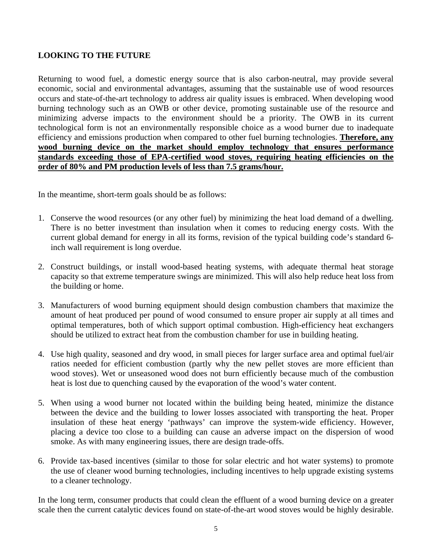### **LOOKING TO THE FUTURE**

Returning to wood fuel, a domestic energy source that is also carbon-neutral, may provide several economic, social and environmental advantages, assuming that the sustainable use of wood resources occurs and state-of-the-art technology to address air quality issues is embraced. When developing wood burning technology such as an OWB or other device, promoting sustainable use of the resource and minimizing adverse impacts to the environment should be a priority. The OWB in its current technological form is not an environmentally responsible choice as a wood burner due to inadequate efficiency and emissions production when compared to other fuel burning technologies. **Therefore, any wood burning device on the market should employ technology that ensures performance standards exceeding those of EPA-certified wood stoves, requiring heating efficiencies on the order of 80% and PM production levels of less than 7.5 grams/hour.**

In the meantime, short-term goals should be as follows:

- 1. Conserve the wood resources (or any other fuel) by minimizing the heat load demand of a dwelling. There is no better investment than insulation when it comes to reducing energy costs. With the current global demand for energy in all its forms, revision of the typical building code's standard 6 inch wall requirement is long overdue.
- 2. Construct buildings, or install wood-based heating systems, with adequate thermal heat storage capacity so that extreme temperature swings are minimized. This will also help reduce heat loss from the building or home.
- 3. Manufacturers of wood burning equipment should design combustion chambers that maximize the amount of heat produced per pound of wood consumed to ensure proper air supply at all times and optimal temperatures, both of which support optimal combustion. High-efficiency heat exchangers should be utilized to extract heat from the combustion chamber for use in building heating.
- 4. Use high quality, seasoned and dry wood, in small pieces for larger surface area and optimal fuel/air ratios needed for efficient combustion (partly why the new pellet stoves are more efficient than wood stoves). Wet or unseasoned wood does not burn efficiently because much of the combustion heat is lost due to quenching caused by the evaporation of the wood's water content.
- 5. When using a wood burner not located within the building being heated, minimize the distance between the device and the building to lower losses associated with transporting the heat. Proper insulation of these heat energy 'pathways' can improve the system-wide efficiency. However, placing a device too close to a building can cause an adverse impact on the dispersion of wood smoke. As with many engineering issues, there are design trade-offs.
- 6. Provide tax-based incentives (similar to those for solar electric and hot water systems) to promote the use of cleaner wood burning technologies, including incentives to help upgrade existing systems to a cleaner technology.

In the long term, consumer products that could clean the effluent of a wood burning device on a greater scale then the current catalytic devices found on state-of-the-art wood stoves would be highly desirable.